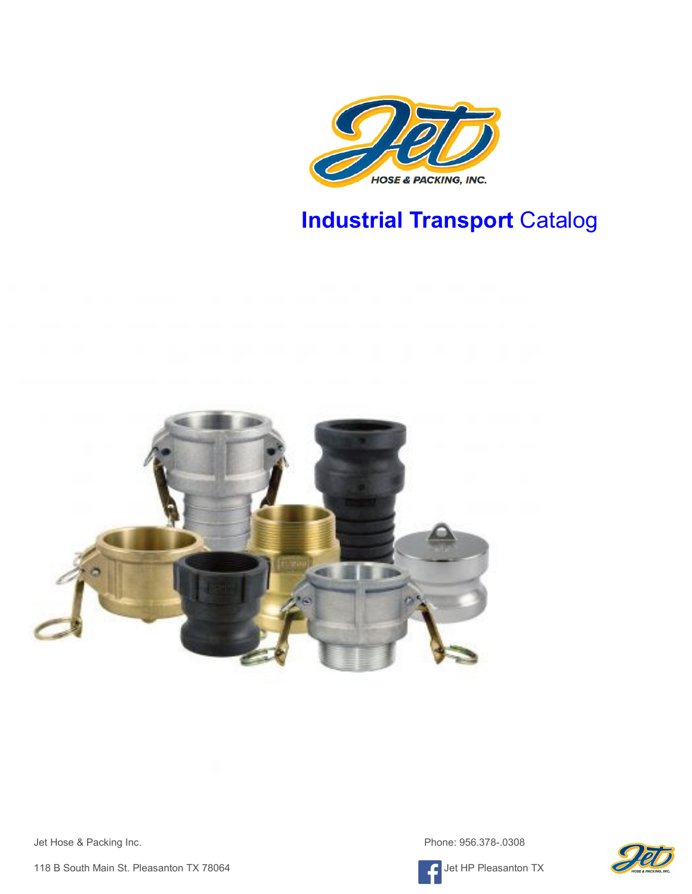

# **Industrial Transport** Catalog



Jet Hose & Packing Inc. **Phone: 956.378-.0308** 

118 B South Main St. Pleasanton TX 78064 Jet HP Pleasanton TX



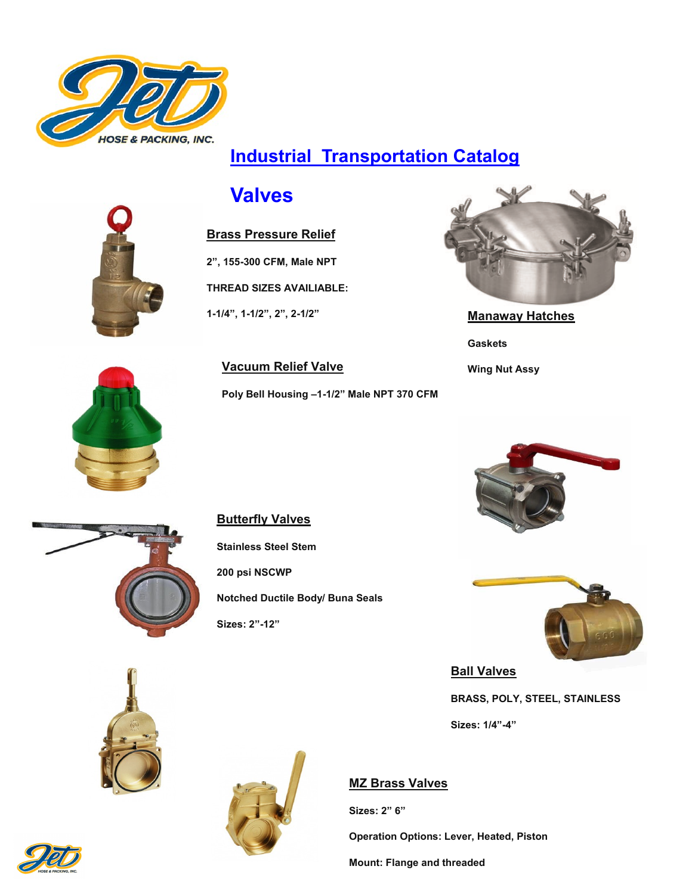

### **Industrial Transportation Catalog**

### **Valves**



#### **Brass Pressure Relief**

**2", 155-300 CFM, Male NPT**

**THREAD SIZES AVAILIABLE:** 

**Vacuum Relief Valve**

**Poly Bell Housing –1-1/2" Male NPT 370 CFM**

**1-1/4", 1-1/2", 2", 2-1/2"**



**Manaway Hatches Gaskets Wing Nut Assy**





#### **Butterfly Valves**

**Stainless Steel Stem 200 psi NSCWP Notched Ductile Body/ Buna Seals Sizes: 2"-12"**





**Ball Valves**

**BRASS, POLY, STEEL, STAINLESS**

**Sizes: 1/4"-4"**

#### **MZ Brass Valves**

**Sizes: 2" 6"**

**Operation Options: Lever, Heated, Piston**

**Mount: Flange and threaded**



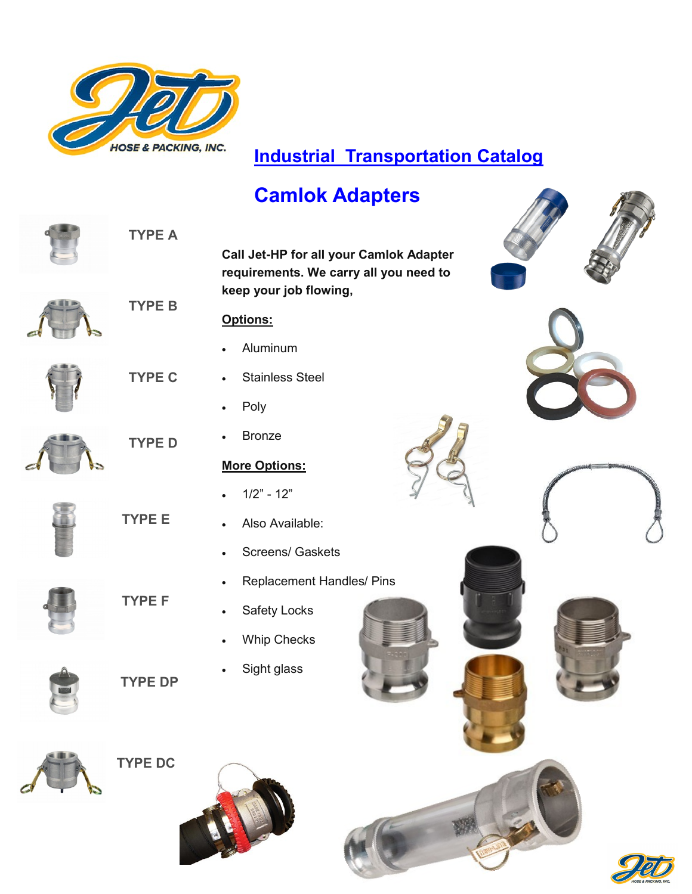

### **Industrial Transportation Catalog**

## **Camlok Adapters**